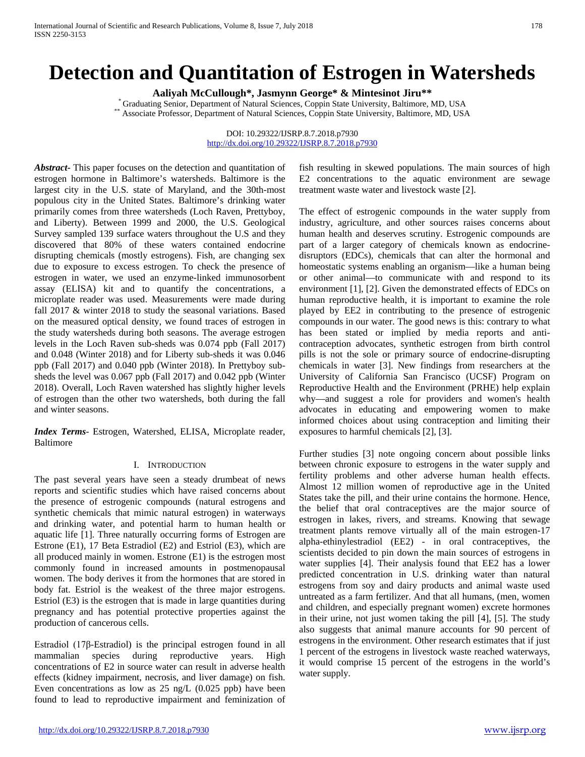# **Detection and Quantitation of Estrogen in Watersheds**

Aaliyah McCullough\*, Jasmynn George\* & Mintesinot Jiru\*\*<br>
For Graduating Senior, Department of Natural Sciences, Coppin State University, Baltimore, MD, USA<br>
\*\* Associate Professor, Department of Natural Sciences, Coppin S

DOI: 10.29322/IJSRP.8.7.2018.p7930 <http://dx.doi.org/10.29322/IJSRP.8.7.2018.p7930>

*Abstract***-** This paper focuses on the detection and quantitation of estrogen hormone in Baltimore's watersheds. Baltimore is the largest city in the U.S. state of Maryland, and the 30th-most populous city in the United States. Baltimore's drinking water primarily comes from three watersheds (Loch Raven, Prettyboy, and Liberty). Between 1999 and 2000, the U.S. Geological Survey sampled 139 surface waters throughout the U.S and they discovered that 80% of these waters contained endocrine disrupting chemicals (mostly estrogens). Fish, are changing sex due to exposure to excess estrogen. To check the presence of estrogen in water, we used an enzyme-linked immunosorbent assay (ELISA) kit and to quantify the concentrations, a microplate reader was used. Measurements were made during fall 2017 & winter 2018 to study the seasonal variations. Based on the measured optical density, we found traces of estrogen in the study watersheds during both seasons. The average estrogen levels in the Loch Raven sub-sheds was 0.074 ppb (Fall 2017) and 0.048 (Winter 2018) and for Liberty sub-sheds it was 0.046 ppb (Fall 2017) and 0.040 ppb (Winter 2018). In Prettyboy subsheds the level was 0.067 ppb (Fall 2017) and 0.042 ppb (Winter 2018). Overall, Loch Raven watershed has slightly higher levels of estrogen than the other two watersheds, both during the fall and winter seasons.

*Index Terms*- Estrogen, Watershed, ELISA, Microplate reader, Baltimore

# I. INTRODUCTION

The past several years have seen a steady drumbeat of news reports and scientific studies which have raised concerns about the presence of estrogenic compounds (natural estrogens and synthetic chemicals that mimic natural estrogen) in waterways and drinking water, and potential harm to human health or aquatic life [1]. Three naturally occurring forms of Estrogen are Estrone (E1), 17 Beta Estradiol (E2) and Estriol (E3), which are all produced mainly in women. Estrone (E1) is the estrogen most commonly found in increased amounts in postmenopausal women. The body derives it from the hormones that are stored in body fat. Estriol is the weakest of the three major estrogens. Estriol (E3) is the estrogen that is made in large quantities during pregnancy and has potential protective properties against the production of cancerous cells.

Estradiol (17β-Estradiol) is the principal estrogen found in all mammalian species during reproductive years. High concentrations of E2 in source water can result in adverse health effects (kidney impairment, necrosis, and liver damage) on fish. Even concentrations as low as 25 ng/L (0.025 ppb) have been found to lead to reproductive impairment and feminization of fish resulting in skewed populations. The main sources of high E2 concentrations to the aquatic environment are sewage treatment waste water and livestock waste [2].

The effect of estrogenic compounds in the water supply from industry, agriculture, and other sources raises concerns about human health and deserves scrutiny. Estrogenic compounds are part of a larger category of chemicals known as endocrinedisruptors (EDCs), chemicals that can alter the hormonal and homeostatic systems enabling an organism—like a human being or other animal—to communicate with and respond to its environment [1], [2]. Given the demonstrated effects of EDCs on human reproductive health, it is important to examine the role played by EE2 in contributing to the presence of estrogenic compounds in our water. The good news is this: contrary to what has been stated or implied by media reports and anticontraception advocates, synthetic estrogen from birth control pills is not the sole or primary source of endocrine-disrupting chemicals in water [3]. New findings from researchers at the University of California San Francisco (UCSF) Program on Reproductive Health and the Environment (PRHE) help explain why—and suggest a role for providers and women's health advocates in educating and empowering women to make informed choices about using contraception and limiting their exposures to harmful chemicals [2], [3].

Further studies [3] note ongoing concern about possible links between chronic exposure to estrogens in the water supply and fertility problems and other adverse human health effects. Almost 12 million women of reproductive age in the United States take the pill, and their urine contains the hormone. Hence, the belief that oral contraceptives are the major source of estrogen in lakes, rivers, and streams. Knowing that sewage treatment plants remove virtually all of the main estrogen-17 alpha-ethinylestradiol (EE2) - in oral contraceptives, the scientists decided to pin down the main sources of estrogens in water supplies [4]. Their analysis found that EE2 has a lower predicted concentration in U.S. drinking water than natural estrogens from soy and dairy products and animal waste used untreated as a farm fertilizer. And that all humans, (men, women and children, and especially pregnant women) excrete hormones in their urine, not just women taking the pill [4], [5]. The study also suggests that animal manure accounts for 90 percent of estrogens in the environment. Other research estimates that if just 1 percent of the estrogens in livestock waste reached waterways, it would comprise 15 percent of the estrogens in the world's water supply.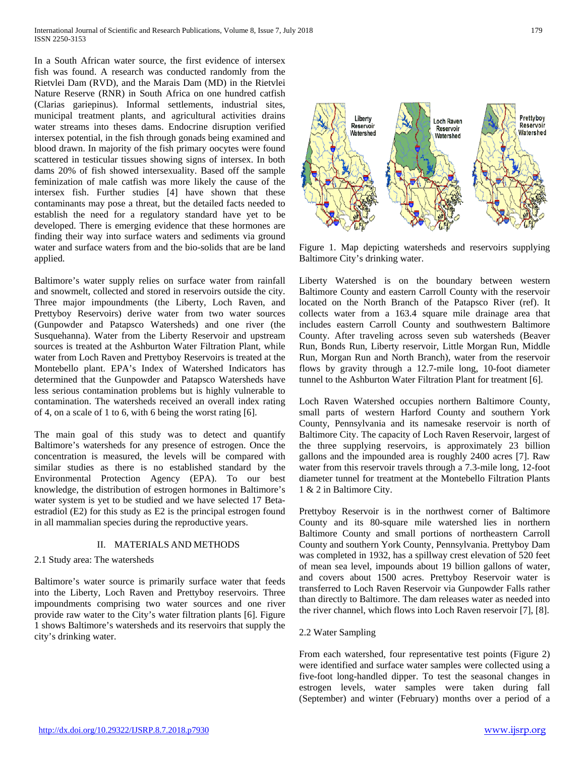In a South African water source, the first evidence of intersex fish was found. A research was conducted randomly from the Rietvlei Dam (RVD), and the Marais Dam (MD) in the Rietvlei Nature Reserve (RNR) in South Africa on one hundred catfish (Clarias gariepinus). Informal settlements, industrial sites, municipal treatment plants, and agricultural activities drains water streams into theses dams. Endocrine disruption verified intersex potential, in the fish through gonads being examined and blood drawn. In majority of the fish primary oocytes were found scattered in testicular tissues showing signs of intersex. In both dams 20% of fish showed intersexuality. Based off the sample feminization of male catfish was more likely the cause of the intersex fish. Further studies [4] have shown that these contaminants may pose a threat, but the detailed facts needed to establish the need for a regulatory standard have yet to be developed. There is emerging evidence that these hormones are finding their way into surface waters and sediments via ground water and surface waters from and the bio-solids that are be land applied.

Baltimore's water supply relies on surface water from rainfall and snowmelt, collected and stored in reservoirs outside the city. Three major impoundments (the Liberty, Loch Raven, and Prettyboy Reservoirs) derive water from two water sources (Gunpowder and Patapsco Watersheds) and one river (the Susquehanna). Water from the Liberty Reservoir and upstream sources is treated at the Ashburton Water Filtration Plant, while water from Loch Raven and Prettyboy Reservoirs is treated at the Montebello plant. EPA's Index of Watershed Indicators has determined that the Gunpowder and Patapsco Watersheds have less serious contamination problems but is highly vulnerable to contamination. The watersheds received an overall index rating of 4, on a scale of 1 to 6, with 6 being the worst rating [6].

The main goal of this study was to detect and quantify Baltimore's watersheds for any presence of estrogen. Once the concentration is measured, the levels will be compared with similar studies as there is no established standard by the Environmental Protection Agency (EPA). To our best knowledge, the distribution of estrogen hormones in Baltimore's water system is yet to be studied and we have selected 17 Betaestradiol (E2) for this study as E2 is the principal estrogen found in all mammalian species during the reproductive years.

# II. MATERIALS AND METHODS

## 2.1 Study area: The watersheds

Baltimore's water source is primarily surface water that feeds into the Liberty, Loch Raven and Prettyboy reservoirs. Three impoundments comprising two water sources and one river provide raw water to the City's water filtration plants [6]. Figure 1 shows Baltimore's watersheds and its reservoirs that supply the city's drinking water.

#### 2.2 Water Sampling

From each watershed, four representative test points (Figure 2) were identified and surface water samples were collected using a five-foot long-handled dipper. To test the seasonal changes in estrogen levels, water samples were taken during fall (September) and winter (February) months over a period of a

Prettyboy

Reservoir

Watershed



Loch Raven

Reservoir

Watershed

Liberty

Reservoir

Watershed

Figure 1. Map depicting watersheds and reservoirs supplying Baltimore City's drinking water.

Liberty Watershed is on the boundary between western Baltimore County and eastern Carroll County with the reservoir located on the North Branch of the Patapsco River (ref). It collects water from a 163.4 square mile drainage area that includes eastern Carroll County and southwestern Baltimore County. After traveling across seven sub watersheds (Beaver Run, Bonds Run, Liberty reservoir, Little Morgan Run, Middle Run, Morgan Run and North Branch), water from the reservoir flows by gravity through a 12.7-mile long, 10-foot diameter tunnel to the Ashburton Water Filtration Plant for treatment [6].

Loch Raven Watershed occupies northern Baltimore County, small parts of western Harford County and southern York County, Pennsylvania and its namesake reservoir is north of Baltimore City. The capacity of Loch Raven Reservoir, largest of the three supplying reservoirs, is approximately 23 billion gallons and the impounded area is roughly 2400 acres [7]. Raw water from this reservoir travels through a 7.3-mile long, 12-foot diameter tunnel for treatment at the Montebello Filtration Plants 1 & 2 in Baltimore City.

Prettyboy Reservoir is in the northwest corner of Baltimore County and its 80-square mile watershed lies in northern Baltimore County and small portions of northeastern Carroll County and southern York County, Pennsylvania. Prettyboy Dam was completed in 1932, has a spillway crest elevation of 520 feet of mean sea level, impounds about 19 billion gallons of water, and covers about 1500 acres. Prettyboy Reservoir water is transferred to Loch Raven Reservoir via Gunpowder Falls rather than directly to Baltimore. The dam releases water as needed into the river channel, which flows into Loch Raven reservoir [7], [8].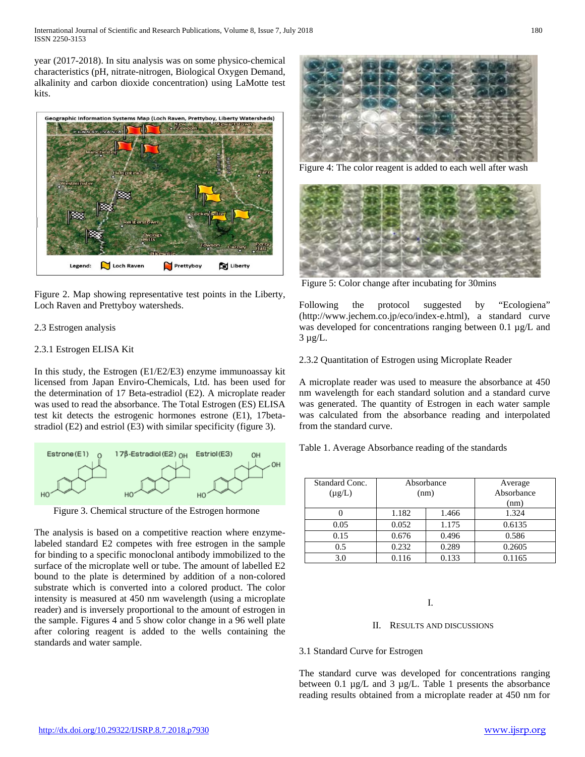year (2017-2018). In situ analysis was on some physico-chemical characteristics (pH, nitrate-nitrogen, Biological Oxygen Demand, alkalinity and carbon dioxide concentration) using LaMotte test kits.



Figure 2. Map showing representative test points in the Liberty, Loch Raven and Prettyboy watersheds.

## 2.3 Estrogen analysis

## 2.3.1 Estrogen ELISA Kit

In this study, the Estrogen (E1/E2/E3) enzyme immunoassay kit licensed from Japan Enviro-Chemicals, Ltd. has been used for the determination of 17 Beta-estradiol (E2). A microplate reader was used to read the absorbance. The Total Estrogen (ES) ELISA test kit detects the estrogenic hormones estrone (E1), 17betastradiol (E2) and estriol (E3) with similar specificity (figure 3).



Figure 3. Chemical structure of the Estrogen hormone

The analysis is based on a competitive reaction where enzymelabeled standard E2 competes with free estrogen in the sample for binding to a specific monoclonal antibody immobilized to the surface of the microplate well or tube. The amount of labelled E2 bound to the plate is determined by addition of a non-colored substrate which is converted into a colored product. The color intensity is measured at 450 nm wavelength (using a microplate reader) and is inversely proportional to the amount of estrogen in the sample. Figures 4 and 5 show color change in a 96 well plate after coloring reagent is added to the wells containing the standards and water sample.



Figure 4: The color reagent is added to each well after wash



Figure 5: Color change after incubating for 30mins

Following the protocol suggested by "Ecologiena" (http://www.jechem.co.jp/eco/index-e.html), a standard curve was developed for concentrations ranging between 0.1  $\mu$ g/L and  $3 \mu g/L$ .

2.3.2 Quantitation of Estrogen using Microplate Reader

A microplate reader was used to measure the absorbance at 450 nm wavelength for each standard solution and a standard curve was generated. The quantity of Estrogen in each water sample was calculated from the absorbance reading and interpolated from the standard curve.

Table 1. Average Absorbance reading of the standards

| Standard Conc.<br>$(\mu g/L)$ |       | Absorbance<br>(nm) | Average<br>Absorbance<br>(nm) |
|-------------------------------|-------|--------------------|-------------------------------|
|                               | 1.182 | 1.466              | 1.324                         |
| 0.05                          | 0.052 | 1.175              | 0.6135                        |
| 0.15                          | 0.676 | 0.496              | 0.586                         |
| 0.5                           | 0.232 | 0.289              | 0.2605                        |
| 3.0                           | 0.116 | 0.133              | 0.1165                        |

I.

#### II. RESULTS AND DISCUSSIONS

#### 3.1 Standard Curve for Estrogen

The standard curve was developed for concentrations ranging between 0.1  $\mu$ g/L and 3  $\mu$ g/L. Table 1 presents the absorbance reading results obtained from a microplate reader at 450 nm for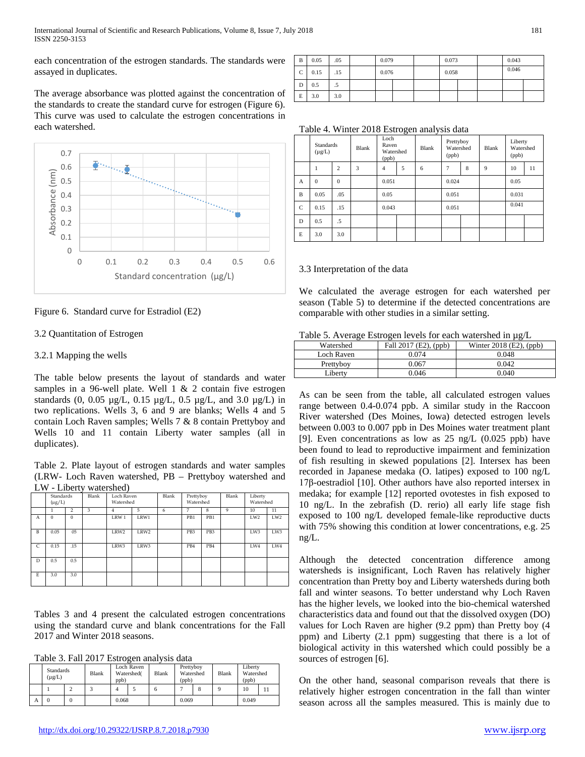each concentration of the estrogen standards. The standards were assayed in duplicates.

The average absorbance was plotted against the concentration of the standards to create the standard curve for estrogen (Figure 6). This curve was used to calculate the estrogen concentrations in each watershed.



Figure 6. Standard curve for Estradiol (E2)

# 3.2 Quantitation of Estrogen

## 3.2.1 Mapping the wells

The table below presents the layout of standards and water samples in a 96-well plate. Well 1 & 2 contain five estrogen standards (0, 0.05 µg/L, 0.15 µg/L, 0.5 µg/L, and 3.0 µg/L) in two replications. Wells 3, 6 and 9 are blanks; Wells 4 and 5 contain Loch Raven samples; Wells 7 & 8 contain Prettyboy and Wells 10 and 11 contain Liberty water samples (all in duplicates).

Table 2. Plate layout of estrogen standards and water samples (LRW- Loch Raven watershed, PB – Prettyboy watershed and LW - Liberty watershed)

|              | <b>Standards</b><br>$(\mu g/L)$ |               | Blank | Loch Raven<br>Watershed |      | Blank | Prettyboy<br>Watershed |                 | Blank | Liberty<br>Watershed |     |
|--------------|---------------------------------|---------------|-------|-------------------------|------|-------|------------------------|-----------------|-------|----------------------|-----|
|              | 1                               | $\mathcal{P}$ | 3     | 4                       | 5    | 6     | 7                      | 8               | 9     | 10                   | 11  |
| A            | $\Omega$                        | $\Omega$      |       | LRW 1                   | LRW1 |       | PB1                    | PB1             |       | LW <sub>2</sub>      | LW2 |
| $\mathbf{B}$ | 0.05                            | 05            |       | LRW2                    | LRW2 |       | PB <sub>3</sub>        | PB <sub>3</sub> |       | LW3                  | LW3 |
| C            | 0.15                            | .15           |       | LRW3                    | LRW3 |       | PB4                    | PB4             |       | LW4                  | LW4 |
| D            | 0.5                             | 0.5           |       |                         |      |       |                        |                 |       |                      |     |
| E            | 3.0                             | 3.0           |       |                         |      |       |                        |                 |       |                      |     |

Tables 3 and 4 present the calculated estrogen concentrations using the standard curve and blank concentrations for the Fall 2017 and Winter 2018 seasons.

Table 3. Fall 2017 Estrogen analysis data

|   | <b>Standards</b><br>$(\mu g/L)$ |  | Blank | Loch Raven<br>Watershed(<br>ppb) |  | Blank | Prettyboy<br>Watershed<br>(ppb) |  | Blank | Liberty<br>Watershed<br>(ppb) |  |
|---|---------------------------------|--|-------|----------------------------------|--|-------|---------------------------------|--|-------|-------------------------------|--|
|   |                                 |  |       |                                  |  |       |                                 |  |       | 10                            |  |
| Α |                                 |  |       | 0.068                            |  |       | 0.069                           |  |       | 0.049                         |  |

| B           | 0.05 | .05 | 0.079 |  | 0.073 |  | 0.043 |  |
|-------------|------|-----|-------|--|-------|--|-------|--|
| $\mathbf C$ | 0.15 | .15 | 0.076 |  | 0.058 |  | 0.046 |  |
| D           | 0.5  | .5  |       |  |       |  |       |  |
| E           | 3.0  | 3.0 |       |  |       |  |       |  |

Table 4. Winter 2018 Estrogen analysis data

|              | <b>Standards</b><br>$(\mu g/L)$ |                | <b>Blank</b> | Loch<br>Raven<br>Watershed<br>(ppb) |   | Blank | Prettyboy<br>Watershed<br>(ppb) |   | Blank | Liberty<br>Watershed<br>(ppb) |    |
|--------------|---------------------------------|----------------|--------------|-------------------------------------|---|-------|---------------------------------|---|-------|-------------------------------|----|
|              |                                 | $\overline{c}$ | 3            | $\overline{4}$                      | 5 | 6     | 7                               | 8 | 9     | 10                            | 11 |
| A            | $\mathbf{0}$                    | $\mathbf{0}$   |              | 0.051                               |   |       | 0.024                           |   |       | 0.05                          |    |
| $\mathbf B$  | 0.05                            | .05            |              | 0.05                                |   |       | 0.051                           |   |       | 0.031                         |    |
| $\mathsf{C}$ | 0.15                            | .15            |              | 0.043                               |   |       | 0.051                           |   |       | 0.041                         |    |
| D            | 0.5                             | $.5\,$         |              |                                     |   |       |                                 |   |       |                               |    |
| E            | 3.0                             | 3.0            |              |                                     |   |       |                                 |   |       |                               |    |

## 3.3 Interpretation of the data

We calculated the average estrogen for each watershed per season (Table 5) to determine if the detected concentrations are comparable with other studies in a similar setting.

|  |  |  |  | Table 5. Average Estrogen levels for each watershed in $\mu$ g/L |  |
|--|--|--|--|------------------------------------------------------------------|--|
|  |  |  |  |                                                                  |  |

|            |                       | ີ                         |
|------------|-----------------------|---------------------------|
| Watershed  | Fall 2017 (E2), (ppb) | Winter $2018$ (E2), (ppb) |
| Loch Raven | 0.074                 | 0.048                     |
| Prettyboy  | 9.067                 | 0.042                     |
| Liberty    | 0.046                 | 0.040                     |

As can be seen from the table, all calculated estrogen values range between 0.4-0.074 ppb. A similar study in the Raccoon River watershed (Des Moines, Iowa) detected estrogen levels between 0.003 to 0.007 ppb in Des Moines water treatment plant [9]. Even concentrations as low as 25 ng/L (0.025 ppb) have been found to lead to reproductive impairment and feminization of fish resulting in skewed populations [2]. Intersex has been recorded in Japanese medaka (O. latipes) exposed to 100 ng/L 17β-oestradiol [10]. Other authors have also reported intersex in medaka; for example [12] reported ovotestes in fish exposed to 10 ng/L. In the zebrafish (D. rerio) all early life stage fish exposed to 100 ng/L developed female-like reproductive ducts with 75% showing this condition at lower concentrations, e.g. 25 ng/L.

Although the detected concentration difference among watersheds is insignificant, Loch Raven has relatively higher concentration than Pretty boy and Liberty watersheds during both fall and winter seasons. To better understand why Loch Raven has the higher levels, we looked into the bio-chemical watershed characteristics data and found out that the dissolved oxygen (DO) values for Loch Raven are higher (9.2 ppm) than Pretty boy (4 ppm) and Liberty (2.1 ppm) suggesting that there is a lot of biological activity in this watershed which could possibly be a sources of estrogen [6].

On the other hand, seasonal comparison reveals that there is relatively higher estrogen concentration in the fall than winter season across all the samples measured. This is mainly due to